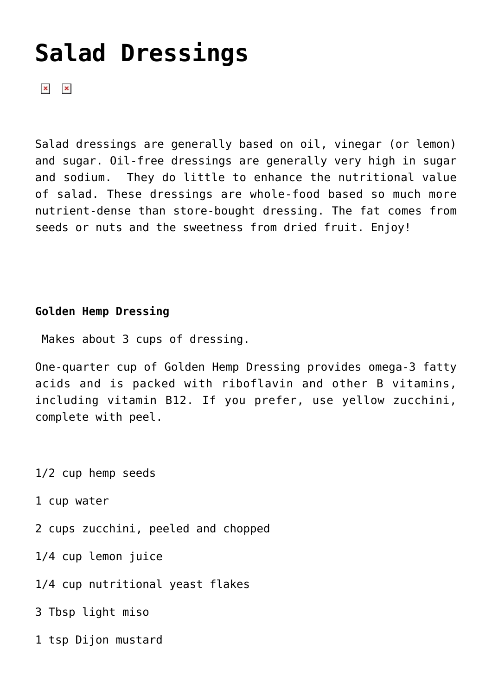# **[Salad Dressings](https://www.brendadavisrd.com/salad-dressings/)**

 $\mathbf{x}$   $\parallel$   $\mathbf{x}$ 

Salad dressings are generally based on oil, vinegar (or lemon) and sugar. Oil-free dressings are generally very high in sugar and sodium. They do little to enhance the nutritional value of salad. These dressings are whole-food based so much more nutrient-dense than store-bought dressing. The fat comes from seeds or nuts and the sweetness from dried fruit. Enjoy!

## **Golden Hemp Dressing**

Makes about 3 cups of dressing.

One-quarter cup of Golden Hemp Dressing provides omega-3 fatty acids and is packed with riboflavin and other B vitamins, including vitamin B12. If you prefer, use yellow zucchini, complete with peel.

1/2 cup hemp seeds

- 1 cup water
- 2 cups zucchini, peeled and chopped

1/4 cup lemon juice

1/4 cup nutritional yeast flakes

3 Tbsp light miso

1 tsp Dijon mustard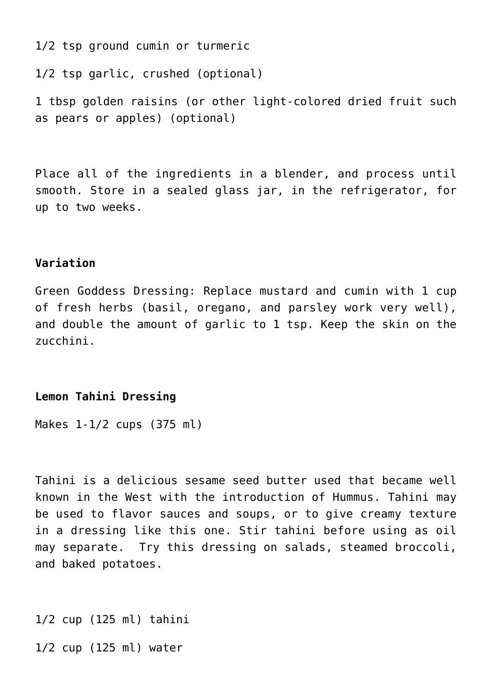1/2 tsp ground cumin or turmeric

1/2 tsp garlic, crushed (optional)

1 tbsp golden raisins (or other light-colored dried fruit such as pears or apples) (optional)

Place all of the ingredients in a blender, and process until smooth. Store in a sealed glass jar, in the refrigerator, for up to two weeks.

## **Variation**

Green Goddess Dressing: Replace mustard and cumin with 1 cup of fresh herbs (basil, oregano, and parsley work very well), and double the amount of garlic to 1 tsp. Keep the skin on the zucchini.

#### **Lemon Tahini Dressing**

Makes 1-1/2 cups (375 ml)

Tahini is a delicious sesame seed butter used that became well known in the West with the introduction of Hummus. Tahini may be used to flavor sauces and soups, or to give creamy texture in a dressing like this one. Stir tahini before using as oil may separate. Try this dressing on salads, steamed broccoli, and baked potatoes.

1/2 cup (125 ml) tahini

1/2 cup (125 ml) water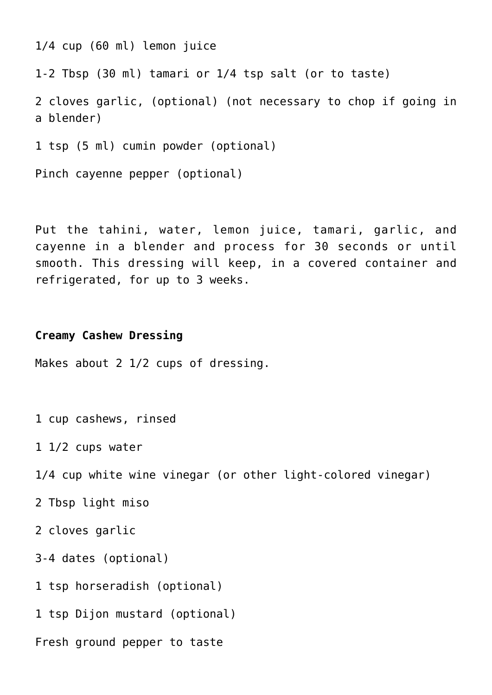1/4 cup (60 ml) lemon juice

1-2 Tbsp (30 ml) tamari or 1/4 tsp salt (or to taste)

2 cloves garlic, (optional) (not necessary to chop if going in a blender)

1 tsp (5 ml) cumin powder (optional)

Pinch cayenne pepper (optional)

Put the tahini, water, lemon juice, tamari, garlic, and cayenne in a blender and process for 30 seconds or until smooth. This dressing will keep, in a covered container and refrigerated, for up to 3 weeks.

#### **Creamy Cashew Dressing**

Makes about 2 1/2 cups of dressing.

1 cup cashews, rinsed

1 1/2 cups water

1/4 cup white wine vinegar (or other light-colored vinegar)

2 Tbsp light miso

2 cloves garlic

3-4 dates (optional)

1 tsp horseradish (optional)

1 tsp Dijon mustard (optional)

Fresh ground pepper to taste